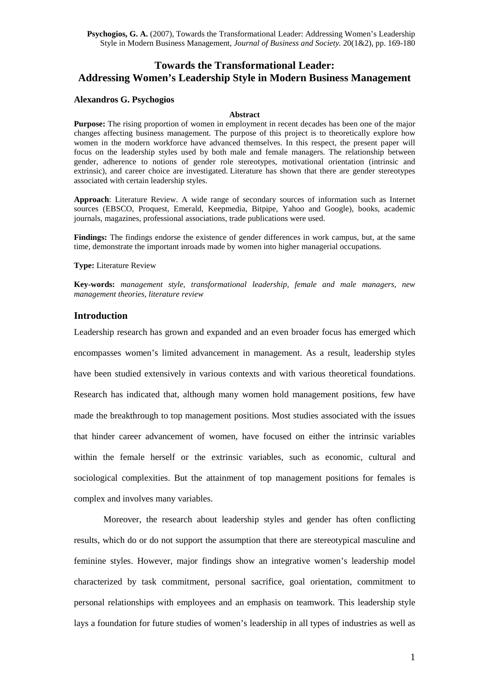# **Towards the Transformational Leader: Addressing Women's Leadership Style in Modern Business Management**

#### **Alexandros G. Psychogios**

#### **Abstract**

**Purpose:** The rising proportion of women in employment in recent decades has been one of the major changes affecting business management. The purpose of this project is to theoretically explore how women in the modern workforce have advanced themselves. In this respect, the present paper will focus on the leadership styles used by both male and female managers. The relationship between gender, adherence to notions of gender role stereotypes, motivational orientation (intrinsic and extrinsic), and career choice are investigated. Literature has shown that there are gender stereotypes associated with certain leadership styles.

**Approach**: Literature Review. A wide range of secondary sources of information such as Internet sources (EBSCO, Proquest, Emerald, Keepmedia, Bitpipe, Yahoo and Google), books, academic journals, magazines, professional associations, trade publications were used.

**Findings:** The findings endorse the existence of gender differences in work campus, but, at the same time, demonstrate the important inroads made by women into higher managerial occupations.

**Type:** Literature Review

**Key-words:** *management style, transformational leadership, female and male managers, new management theories, literature review* 

#### **Introduction**

Leadership research has grown and expanded and an even broader focus has emerged which encompasses women's limited advancement in management. As a result, leadership styles have been studied extensively in various contexts and with various theoretical foundations. Research has indicated that, although many women hold management positions, few have made the breakthrough to top management positions. Most studies associated with the issues that hinder career advancement of women, have focused on either the intrinsic variables within the female herself or the extrinsic variables, such as economic, cultural and sociological complexities. But the attainment of top management positions for females is complex and involves many variables.

Moreover, the research about leadership styles and gender has often conflicting results, which do or do not support the assumption that there are stereotypical masculine and feminine styles. However, major findings show an integrative women's leadership model characterized by task commitment, personal sacrifice, goal orientation, commitment to personal relationships with employees and an emphasis on teamwork. This leadership style lays a foundation for future studies of women's leadership in all types of industries as well as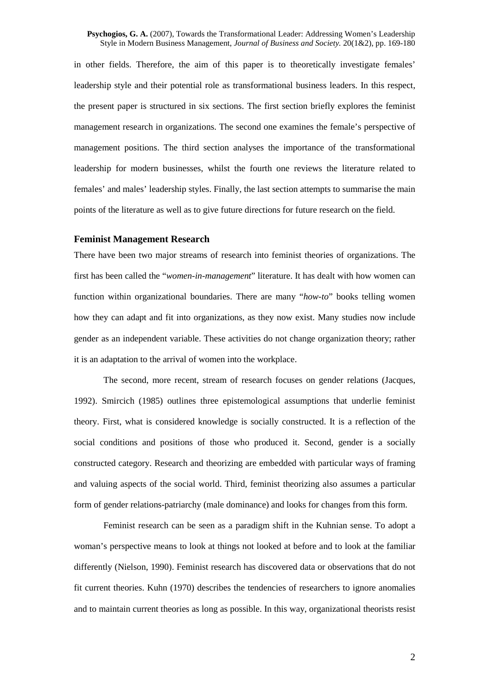in other fields. Therefore, the aim of this paper is to theoretically investigate females' leadership style and their potential role as transformational business leaders. In this respect, the present paper is structured in six sections. The first section briefly explores the feminist management research in organizations. The second one examines the female's perspective of management positions. The third section analyses the importance of the transformational leadership for modern businesses, whilst the fourth one reviews the literature related to females' and males' leadership styles. Finally, the last section attempts to summarise the main points of the literature as well as to give future directions for future research on the field.

## **Feminist Management Research**

There have been two major streams of research into feminist theories of organizations. The first has been called the "*women-in-management*" literature. It has dealt with how women can function within organizational boundaries. There are many "*how-to*" books telling women how they can adapt and fit into organizations, as they now exist. Many studies now include gender as an independent variable. These activities do not change organization theory; rather it is an adaptation to the arrival of women into the workplace.

The second, more recent, stream of research focuses on gender relations (Jacques, 1992). Smircich (1985) outlines three epistemological assumptions that underlie feminist theory. First, what is considered knowledge is socially constructed. It is a reflection of the social conditions and positions of those who produced it. Second, gender is a socially constructed category. Research and theorizing are embedded with particular ways of framing and valuing aspects of the social world. Third, feminist theorizing also assumes a particular form of gender relations-patriarchy (male dominance) and looks for changes from this form.

Feminist research can be seen as a paradigm shift in the Kuhnian sense. To adopt a woman's perspective means to look at things not looked at before and to look at the familiar differently (Nielson, 1990). Feminist research has discovered data or observations that do not fit current theories. Kuhn (1970) describes the tendencies of researchers to ignore anomalies and to maintain current theories as long as possible. In this way, organizational theorists resist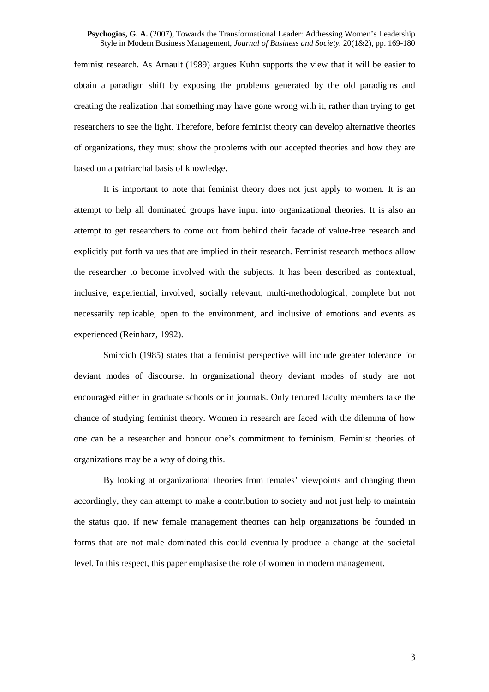feminist research. As Arnault (1989) argues Kuhn supports the view that it will be easier to obtain a paradigm shift by exposing the problems generated by the old paradigms and creating the realization that something may have gone wrong with it, rather than trying to get researchers to see the light. Therefore, before feminist theory can develop alternative theories of organizations, they must show the problems with our accepted theories and how they are based on a patriarchal basis of knowledge.

It is important to note that feminist theory does not just apply to women. It is an attempt to help all dominated groups have input into organizational theories. It is also an attempt to get researchers to come out from behind their facade of value-free research and explicitly put forth values that are implied in their research. Feminist research methods allow the researcher to become involved with the subjects. It has been described as contextual, inclusive, experiential, involved, socially relevant, multi-methodological, complete but not necessarily replicable, open to the environment, and inclusive of emotions and events as experienced (Reinharz, 1992).

Smircich (1985) states that a feminist perspective will include greater tolerance for deviant modes of discourse. In organizational theory deviant modes of study are not encouraged either in graduate schools or in journals. Only tenured faculty members take the chance of studying feminist theory. Women in research are faced with the dilemma of how one can be a researcher and honour one's commitment to feminism. Feminist theories of organizations may be a way of doing this.

By looking at organizational theories from females' viewpoints and changing them accordingly, they can attempt to make a contribution to society and not just help to maintain the status quo. If new female management theories can help organizations be founded in forms that are not male dominated this could eventually produce a change at the societal level. In this respect, this paper emphasise the role of women in modern management.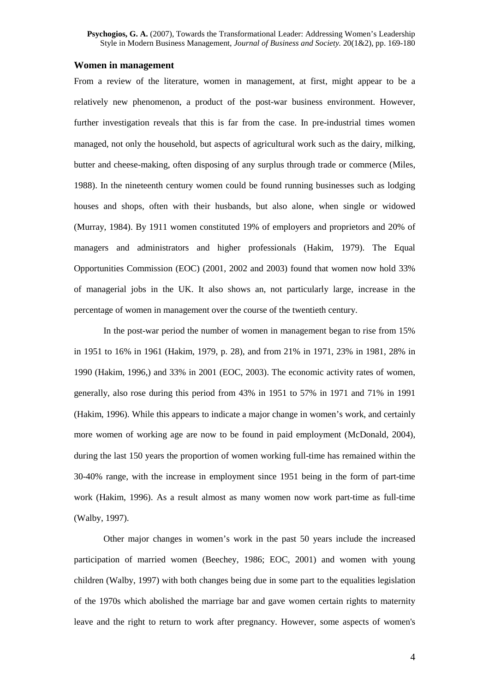### **Women in management**

From a review of the literature, women in management, at first, might appear to be a relatively new phenomenon, a product of the post-war business environment. However, further investigation reveals that this is far from the case. In pre-industrial times women managed, not only the household, but aspects of agricultural work such as the dairy, milking, butter and cheese-making, often disposing of any surplus through trade or commerce (Miles, 1988). In the nineteenth century women could be found running businesses such as lodging houses and shops, often with their husbands, but also alone, when single or widowed (Murray, 1984). By 1911 women constituted 19% of employers and proprietors and 20% of managers and administrators and higher professionals (Hakim, 1979). The Equal Opportunities Commission (EOC) (2001, 2002 and 2003) found that women now hold 33% of managerial jobs in the UK. It also shows an, not particularly large, increase in the percentage of women in management over the course of the twentieth century.

In the post-war period the number of women in management began to rise from 15% in 1951 to 16% in 1961 (Hakim, 1979, p. 28), and from 21% in 1971, 23% in 1981, 28% in 1990 (Hakim, 1996,) and 33% in 2001 (EOC, 2003). The economic activity rates of women, generally, also rose during this period from 43% in 1951 to 57% in 1971 and 71% in 1991 (Hakim, 1996). While this appears to indicate a major change in women's work, and certainly more women of working age are now to be found in paid employment (McDonald, 2004), during the last 150 years the proportion of women working full-time has remained within the 30-40% range, with the increase in employment since 1951 being in the form of part-time work (Hakim, 1996). As a result almost as many women now work part-time as full-time (Walby, 1997).

Other major changes in women's work in the past 50 years include the increased participation of married women (Beechey, 1986; EOC, 2001) and women with young children (Walby, 1997) with both changes being due in some part to the equalities legislation of the 1970s which abolished the marriage bar and gave women certain rights to maternity leave and the right to return to work after pregnancy. However, some aspects of women's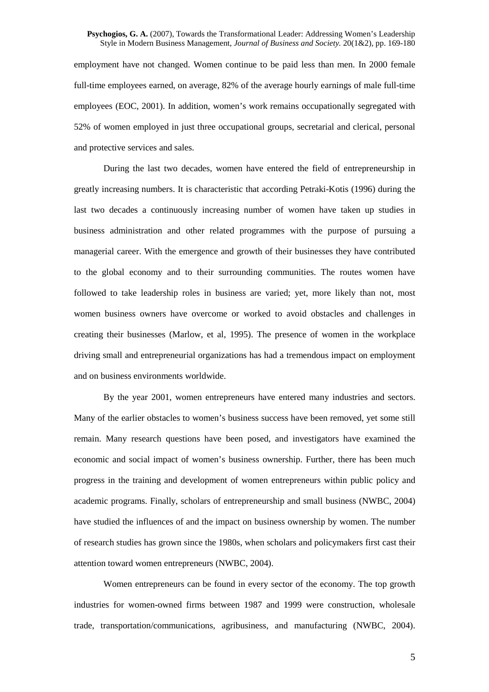employment have not changed. Women continue to be paid less than men. In 2000 female full-time employees earned, on average, 82% of the average hourly earnings of male full-time employees (EOC, 2001). In addition, women's work remains occupationally segregated with 52% of women employed in just three occupational groups, secretarial and clerical, personal and protective services and sales.

During the last two decades, women have entered the field of entrepreneurship in greatly increasing numbers. It is characteristic that according Petraki-Kotis (1996) during the last two decades a continuously increasing number of women have taken up studies in business administration and other related programmes with the purpose of pursuing a managerial career. With the emergence and growth of their businesses they have contributed to the global economy and to their surrounding communities. The routes women have followed to take leadership roles in business are varied; yet, more likely than not, most women business owners have overcome or worked to avoid obstacles and challenges in creating their businesses (Marlow, et al, 1995). The presence of women in the workplace driving small and entrepreneurial organizations has had a tremendous impact on employment and on business environments worldwide.

By the year 2001, women entrepreneurs have entered many industries and sectors. Many of the earlier obstacles to women's business success have been removed, yet some still remain. Many research questions have been posed, and investigators have examined the economic and social impact of women's business ownership. Further, there has been much progress in the training and development of women entrepreneurs within public policy and academic programs. Finally, scholars of entrepreneurship and small business (NWBC, 2004) have studied the influences of and the impact on business ownership by women. The number of research studies has grown since the 1980s, when scholars and policymakers first cast their attention toward women entrepreneurs (NWBC, 2004).

Women entrepreneurs can be found in every sector of the economy. The top growth industries for women-owned firms between 1987 and 1999 were construction, wholesale trade, transportation/communications, agribusiness, and manufacturing (NWBC, 2004).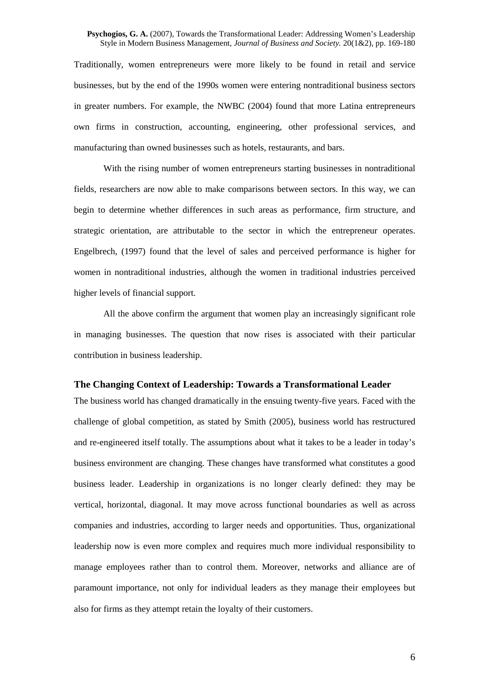Traditionally, women entrepreneurs were more likely to be found in retail and service businesses, but by the end of the 1990s women were entering nontraditional business sectors in greater numbers. For example, the NWBC (2004) found that more Latina entrepreneurs own firms in construction, accounting, engineering, other professional services, and manufacturing than owned businesses such as hotels, restaurants, and bars.

With the rising number of women entrepreneurs starting businesses in nontraditional fields, researchers are now able to make comparisons between sectors. In this way, we can begin to determine whether differences in such areas as performance, firm structure, and strategic orientation, are attributable to the sector in which the entrepreneur operates. Engelbrech, (1997) found that the level of sales and perceived performance is higher for women in nontraditional industries, although the women in traditional industries perceived higher levels of financial support.

All the above confirm the argument that women play an increasingly significant role in managing businesses. The question that now rises is associated with their particular contribution in business leadership.

# **The Changing Context of Leadership: Towards a Transformational Leader**

The business world has changed dramatically in the ensuing twenty-five years. Faced with the challenge of global competition, as stated by Smith (2005), business world has restructured and re-engineered itself totally. The assumptions about what it takes to be a leader in today's business environment are changing. These changes have transformed what constitutes a good business leader. Leadership in organizations is no longer clearly defined: they may be vertical, horizontal, diagonal. It may move across functional boundaries as well as across companies and industries, according to larger needs and opportunities. Thus, organizational leadership now is even more complex and requires much more individual responsibility to manage employees rather than to control them. Moreover, networks and alliance are of paramount importance, not only for individual leaders as they manage their employees but also for firms as they attempt retain the loyalty of their customers.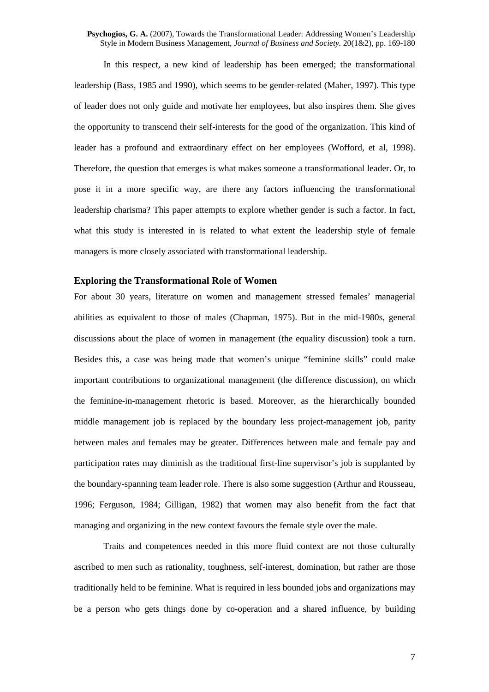In this respect, a new kind of leadership has been emerged; the transformational leadership (Bass, 1985 and 1990), which seems to be gender-related (Maher, 1997). This type of leader does not only guide and motivate her employees, but also inspires them. She gives the opportunity to transcend their self-interests for the good of the organization. This kind of leader has a profound and extraordinary effect on her employees (Wofford, et al, 1998). Therefore, the question that emerges is what makes someone a transformational leader. Or, to pose it in a more specific way, are there any factors influencing the transformational leadership charisma? This paper attempts to explore whether gender is such a factor. In fact, what this study is interested in is related to what extent the leadership style of female managers is more closely associated with transformational leadership.

#### **Exploring the Transformational Role of Women**

For about 30 years, literature on women and management stressed females' managerial abilities as equivalent to those of males (Chapman, 1975). But in the mid-1980s, general discussions about the place of women in management (the equality discussion) took a turn. Besides this, a case was being made that women's unique "feminine skills" could make important contributions to organizational management (the difference discussion), on which the feminine-in-management rhetoric is based. Moreover, as the hierarchically bounded middle management job is replaced by the boundary less project-management job, parity between males and females may be greater. Differences between male and female pay and participation rates may diminish as the traditional first-line supervisor's job is supplanted by the boundary-spanning team leader role. There is also some suggestion (Arthur and Rousseau, 1996; Ferguson, 1984; Gilligan, 1982) that women may also benefit from the fact that managing and organizing in the new context favours the female style over the male.

Traits and competences needed in this more fluid context are not those culturally ascribed to men such as rationality, toughness, self-interest, domination, but rather are those traditionally held to be feminine. What is required in less bounded jobs and organizations may be a person who gets things done by co-operation and a shared influence, by building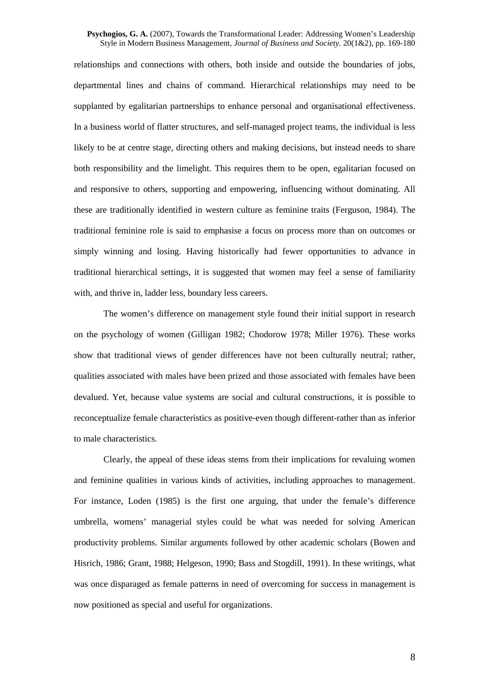relationships and connections with others, both inside and outside the boundaries of jobs, departmental lines and chains of command. Hierarchical relationships may need to be supplanted by egalitarian partnerships to enhance personal and organisational effectiveness. In a business world of flatter structures, and self-managed project teams, the individual is less likely to be at centre stage, directing others and making decisions, but instead needs to share both responsibility and the limelight. This requires them to be open, egalitarian focused on and responsive to others, supporting and empowering, influencing without dominating. All these are traditionally identified in western culture as feminine traits (Ferguson, 1984). The traditional feminine role is said to emphasise a focus on process more than on outcomes or simply winning and losing. Having historically had fewer opportunities to advance in traditional hierarchical settings, it is suggested that women may feel a sense of familiarity with, and thrive in, ladder less, boundary less careers.

The women's difference on management style found their initial support in research on the psychology of women (Gilligan 1982; Chodorow 1978; Miller 1976). These works show that traditional views of gender differences have not been culturally neutral; rather, qualities associated with males have been prized and those associated with females have been devalued. Yet, because value systems are social and cultural constructions, it is possible to reconceptualize female characteristics as positive-even though different-rather than as inferior to male characteristics.

Clearly, the appeal of these ideas stems from their implications for revaluing women and feminine qualities in various kinds of activities, including approaches to management. For instance, Loden (1985) is the first one arguing, that under the female's difference umbrella, womens' managerial styles could be what was needed for solving American productivity problems. Similar arguments followed by other academic scholars (Bowen and Hisrich, 1986; Grant, 1988; Helgeson, 1990; Bass and Stogdill, 1991). In these writings, what was once disparaged as female patterns in need of overcoming for success in management is now positioned as special and useful for organizations.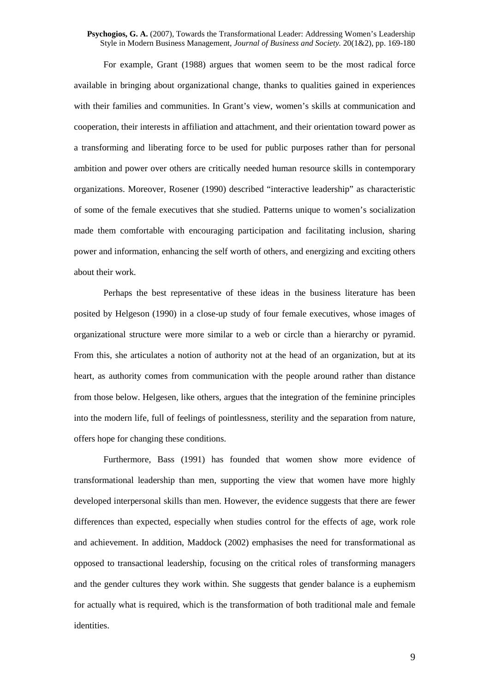For example, Grant (1988) argues that women seem to be the most radical force available in bringing about organizational change, thanks to qualities gained in experiences with their families and communities. In Grant's view, women's skills at communication and cooperation, their interests in affiliation and attachment, and their orientation toward power as a transforming and liberating force to be used for public purposes rather than for personal ambition and power over others are critically needed human resource skills in contemporary organizations. Moreover, Rosener (1990) described "interactive leadership" as characteristic of some of the female executives that she studied. Patterns unique to women's socialization made them comfortable with encouraging participation and facilitating inclusion, sharing power and information, enhancing the self worth of others, and energizing and exciting others about their work.

Perhaps the best representative of these ideas in the business literature has been posited by Helgeson (1990) in a close-up study of four female executives, whose images of organizational structure were more similar to a web or circle than a hierarchy or pyramid. From this, she articulates a notion of authority not at the head of an organization, but at its heart, as authority comes from communication with the people around rather than distance from those below. Helgesen, like others, argues that the integration of the feminine principles into the modern life, full of feelings of pointlessness, sterility and the separation from nature, offers hope for changing these conditions.

Furthermore, Bass (1991) has founded that women show more evidence of transformational leadership than men, supporting the view that women have more highly developed interpersonal skills than men. However, the evidence suggests that there are fewer differences than expected, especially when studies control for the effects of age, work role and achievement. In addition, Maddock (2002) emphasises the need for transformational as opposed to transactional leadership, focusing on the critical roles of transforming managers and the gender cultures they work within. She suggests that gender balance is a euphemism for actually what is required, which is the transformation of both traditional male and female identities.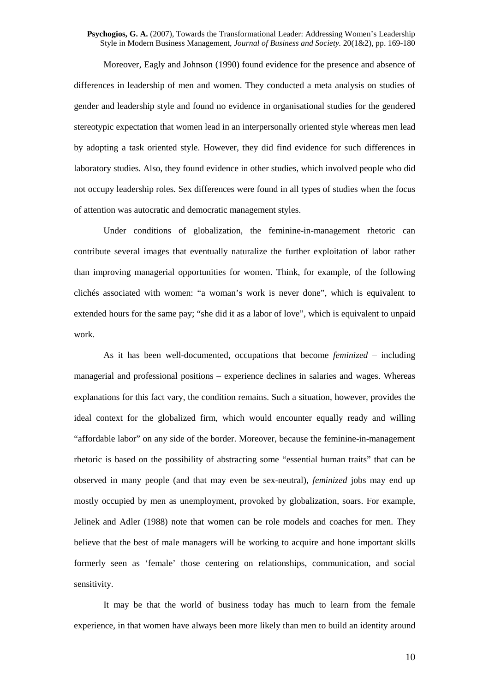Moreover, Eagly and Johnson (1990) found evidence for the presence and absence of differences in leadership of men and women. They conducted a meta analysis on studies of gender and leadership style and found no evidence in organisational studies for the gendered stereotypic expectation that women lead in an interpersonally oriented style whereas men lead by adopting a task oriented style. However, they did find evidence for such differences in laboratory studies. Also, they found evidence in other studies, which involved people who did not occupy leadership roles. Sex differences were found in all types of studies when the focus of attention was autocratic and democratic management styles.

Under conditions of globalization, the feminine-in-management rhetoric can contribute several images that eventually naturalize the further exploitation of labor rather than improving managerial opportunities for women. Think, for example, of the following clichés associated with women: "a woman's work is never done", which is equivalent to extended hours for the same pay; "she did it as a labor of love", which is equivalent to unpaid work.

As it has been well-documented, occupations that become *feminized* – including managerial and professional positions – experience declines in salaries and wages. Whereas explanations for this fact vary, the condition remains. Such a situation, however, provides the ideal context for the globalized firm, which would encounter equally ready and willing "affordable labor" on any side of the border. Moreover, because the feminine-in-management rhetoric is based on the possibility of abstracting some "essential human traits" that can be observed in many people (and that may even be sex-neutral), *feminized* jobs may end up mostly occupied by men as unemployment, provoked by globalization, soars. For example, Jelinek and Adler (1988) note that women can be role models and coaches for men. They believe that the best of male managers will be working to acquire and hone important skills formerly seen as 'female' those centering on relationships, communication, and social sensitivity.

It may be that the world of business today has much to learn from the female experience, in that women have always been more likely than men to build an identity around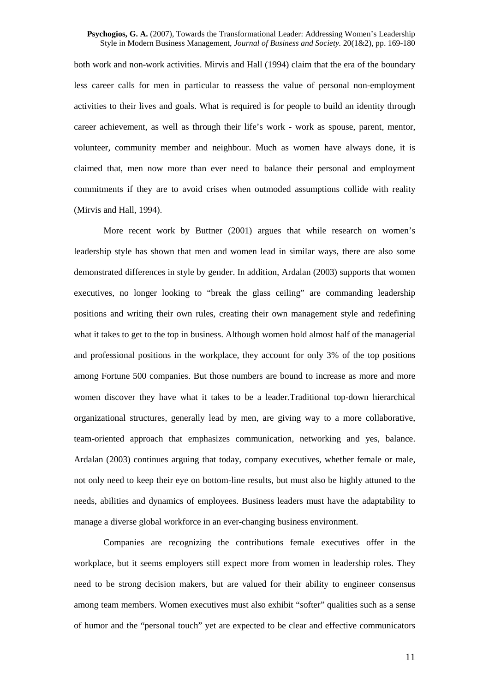both work and non-work activities. Mirvis and Hall (1994) claim that the era of the boundary less career calls for men in particular to reassess the value of personal non-employment activities to their lives and goals. What is required is for people to build an identity through career achievement, as well as through their life's work - work as spouse, parent, mentor, volunteer, community member and neighbour. Much as women have always done, it is claimed that, men now more than ever need to balance their personal and employment commitments if they are to avoid crises when outmoded assumptions collide with reality (Mirvis and Hall, 1994).

More recent work by Buttner (2001) argues that while research on women's leadership style has shown that men and women lead in similar ways, there are also some demonstrated differences in style by gender. In addition, Ardalan (2003) supports that women executives, no longer looking to "break the glass ceiling" are commanding leadership positions and writing their own rules, creating their own management style and redefining what it takes to get to the top in business. Although women hold almost half of the managerial and professional positions in the workplace, they account for only 3% of the top positions among Fortune 500 companies. But those numbers are bound to increase as more and more women discover they have what it takes to be a leader.Traditional top-down hierarchical organizational structures, generally lead by men, are giving way to a more collaborative, team-oriented approach that emphasizes communication, networking and yes, balance. Ardalan (2003) continues arguing that today, company executives, whether female or male, not only need to keep their eye on bottom-line results, but must also be highly attuned to the needs, abilities and dynamics of employees. Business leaders must have the adaptability to manage a diverse global workforce in an ever-changing business environment.

Companies are recognizing the contributions female executives offer in the workplace, but it seems employers still expect more from women in leadership roles. They need to be strong decision makers, but are valued for their ability to engineer consensus among team members. Women executives must also exhibit "softer" qualities such as a sense of humor and the "personal touch" yet are expected to be clear and effective communicators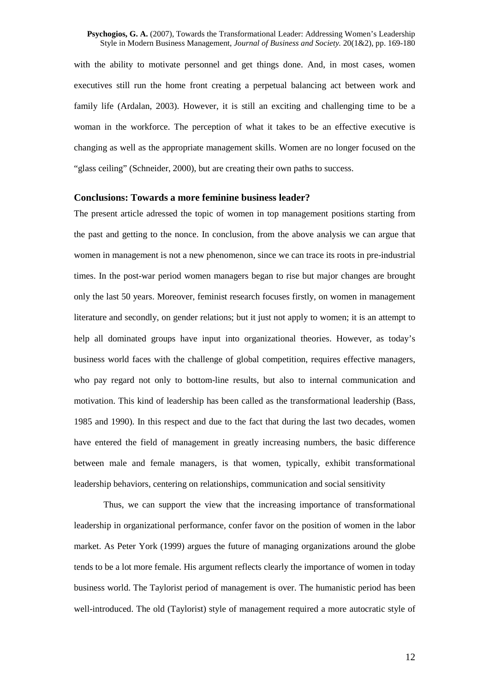with the ability to motivate personnel and get things done. And, in most cases, women executives still run the home front creating a perpetual balancing act between work and family life (Ardalan, 2003). However, it is still an exciting and challenging time to be a woman in the workforce. The perception of what it takes to be an effective executive is changing as well as the appropriate management skills. Women are no longer focused on the "glass ceiling" (Schneider, 2000), but are creating their own paths to success.

### **Conclusions: Towards a more feminine business leader?**

The present article adressed the topic of women in top management positions starting from the past and getting to the nonce. In conclusion, from the above analysis we can argue that women in management is not a new phenomenon, since we can trace its roots in pre-industrial times. In the post-war period women managers began to rise but major changes are brought only the last 50 years. Moreover, feminist research focuses firstly, on women in management literature and secondly, on gender relations; but it just not apply to women; it is an attempt to help all dominated groups have input into organizational theories. However, as today's business world faces with the challenge of global competition, requires effective managers, who pay regard not only to bottom-line results, but also to internal communication and motivation. This kind of leadership has been called as the transformational leadership (Bass, 1985 and 1990). In this respect and due to the fact that during the last two decades, women have entered the field of management in greatly increasing numbers, the basic difference between male and female managers, is that women, typically, exhibit transformational leadership behaviors, centering on relationships, communication and social sensitivity

Thus, we can support the view that the increasing importance of transformational leadership in organizational performance, confer favor on the position of women in the labor market. As Peter York (1999) argues the future of managing organizations around the globe tends to be a lot more female. His argument reflects clearly the importance of women in today business world. The Taylorist period of management is over. The humanistic period has been well-introduced. The old (Taylorist) style of management required a more autocratic style of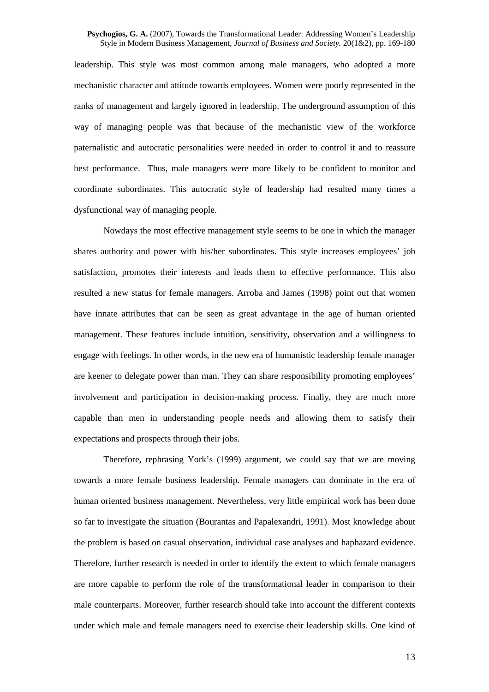leadership. This style was most common among male managers, who adopted a more mechanistic character and attitude towards employees. Women were poorly represented in the ranks of management and largely ignored in leadership. The underground assumption of this way of managing people was that because of the mechanistic view of the workforce paternalistic and autocratic personalities were needed in order to control it and to reassure best performance. Thus, male managers were more likely to be confident to monitor and coordinate subordinates. This autocratic style of leadership had resulted many times a dysfunctional way of managing people.

Nowdays the most effective management style seems to be one in which the manager shares authority and power with his/her subordinates. This style increases employees' job satisfaction, promotes their interests and leads them to effective performance. This also resulted a new status for female managers. Arroba and James (1998) point out that women have innate attributes that can be seen as great advantage in the age of human oriented management. These features include intuition, sensitivity, observation and a willingness to engage with feelings. In other words, in the new era of humanistic leadership female manager are keener to delegate power than man. They can share responsibility promoting employees' involvement and participation in decision-making process. Finally, they are much more capable than men in understanding people needs and allowing them to satisfy their expectations and prospects through their jobs.

Therefore, rephrasing York's (1999) argument, we could say that we are moving towards a more female business leadership. Female managers can dominate in the era of human oriented business management. Nevertheless, very little empirical work has been done so far to investigate the situation (Bourantas and Papalexandri, 1991). Most knowledge about the problem is based on casual observation, individual case analyses and haphazard evidence. Therefore, further research is needed in order to identify the extent to which female managers are more capable to perform the role of the transformational leader in comparison to their male counterparts. Moreover, further research should take into account the different contexts under which male and female managers need to exercise their leadership skills. One kind of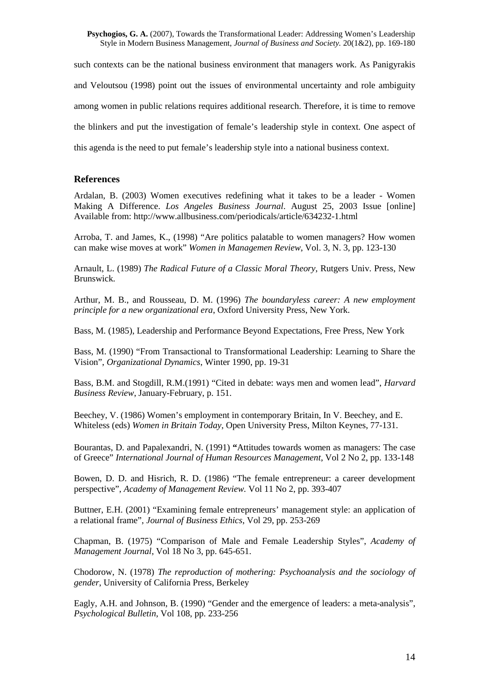such contexts can be the national business environment that managers work. As Panigyrakis and Veloutsou (1998) point out the issues of environmental uncertainty and role ambiguity among women in public relations requires additional research. Therefore, it is time to remove the blinkers and put the investigation of female's leadership style in context. One aspect of this agenda is the need to put female's leadership style into a national business context.

# **References**

Ardalan, B. (2003) Women executives redefining what it takes to be a leader - Women Making A Difference. *Los Angeles Business Journal*. August 25, 2003 Issue [online] Available from: http://www.allbusiness.com/periodicals/article/634232-1.html

Arroba, T. and James, K., (1998) "Are politics palatable to women managers? How women can make wise moves at work" *Women in Managemen Review*, Vol. 3, N. 3, pp. 123-130

Arnault, L. (1989) *The Radical Future of a Classic Moral Theory*, Rutgers Univ. Press, New Brunswick.

Arthur, M. B., and Rousseau, D. M. (1996) *The boundaryless career: A new employment principle for a new organizational era*, Oxford University Press, New York.

Bass, M. (1985), Leadership and Performance Beyond Expectations, Free Press, New York

Bass, M. (1990) "From Transactional to Transformational Leadership: Learning to Share the Vision", *Organizational Dynamics*, Winter 1990, pp. 19-31

Bass, B.M. and Stogdill, R.M.(1991) "Cited in debate: ways men and women lead", *Harvard Business Review*, January-February, p. 151.

Beechey, V. (1986) Women's employment in contemporary Britain, In V. Beechey, and E. Whiteless (eds) *Women in Britain Today*, Open University Press, Milton Keynes, 77-131.

Bourantas, D. and Papalexandri, N. (1991) **"**Attitudes towards women as managers: The case of Greece" *International Journal of Human Resources Management*, Vol 2 No 2, pp. 133-148

Bowen, D. D. and Hisrich, R. D. (1986) "The female entrepreneur: a career development perspective", *Academy of Management Review.* Vol 11 No 2, pp. 393-407

Buttner, E.H. (2001) "Examining female entrepreneurs' management style: an application of a relational frame", *Journal of Business Ethics*, Vol 29, pp. 253-269

Chapman, B. (1975) "Comparison of Male and Female Leadership Styles", *Academy of Management Journal*, Vol 18 No 3, pp. 645-651.

Chodorow, N. (1978) *The reproduction of mothering: Psychoanalysis and the sociology of gender*, University of California Press, Berkeley

Eagly, A.H. and Johnson, B. (1990) "Gender and the emergence of leaders: a meta-analysis", *Psychological Bulletin*, Vol 108, pp. 233-256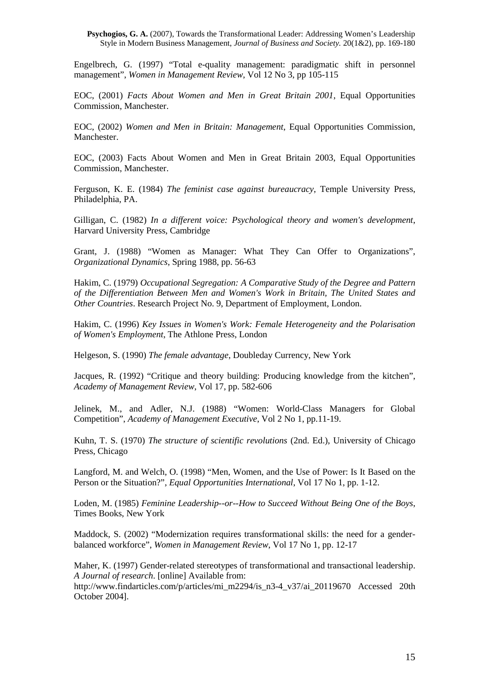Engelbrech, G. (1997) "Total e-quality management: paradigmatic shift in personnel management", *Women in Management Review*, Vol 12 No 3, pp 105-115

EOC, (2001) *Facts About Women and Men in Great Britain 2001*, Equal Opportunities Commission, Manchester.

EOC, (2002) *Women and Men in Britain: Management*, Equal Opportunities Commission, Manchester.

EOC, (2003) Facts About Women and Men in Great Britain 2003, Equal Opportunities Commission, Manchester.

Ferguson, K. E. (1984) *The feminist case against bureaucracy*, Temple University Press, Philadelphia, PA.

Gilligan, C. (1982) *In a different voice: Psychological theory and women's development*, Harvard University Press, Cambridge

Grant, J. (1988) "Women as Manager: What They Can Offer to Organizations", *Organizational Dynamics*, Spring 1988, pp. 56-63

Hakim, C. (1979) *Occupational Segregation: A Comparative Study of the Degree and Pattern of the Differentiation Between Men and Women's Work in Britain, The United States and Other Countries*. Research Project No. 9, Department of Employment, London.

Hakim, C. (1996) *Key Issues in Women's Work: Female Heterogeneity and the Polarisation of Women's Employment*, The Athlone Press, London

Helgeson, S. (1990) *The female advantage*, Doubleday Currency, New York

Jacques, R. (1992) "Critique and theory building: Producing knowledge from the kitchen", *Academy of Management Review*, Vol 17, pp. 582-606

Jelinek, M., and Adler, N.J. (1988) "Women: World-Class Managers for Global Competition", *Academy of Management Executive*, Vol 2 No 1, pp.11-19.

Kuhn, T. S. (1970) *The structure of scientific revolutions* (2nd. Ed.), University of Chicago Press, Chicago

Langford, M. and Welch, O. (1998) "Men, Women, and the Use of Power: Is It Based on the Person or the Situation?", *Equal Opportunities International*, Vol 17 No 1, pp. 1-12.

Loden, M. (1985) *Feminine Leadership--or--How to Succeed Without Being One of the Boys*, Times Books, New York

Maddock, S. (2002) "Modernization requires transformational skills: the need for a genderbalanced workforce", *Women in Management Review*, Vol 17 No 1, pp. 12-17

Maher, K. (1997) Gender-related stereotypes of transformational and transactional leadership. *A Journal of research*. [online] Available from:

http://www.findarticles.com/p/articles/mi\_m2294/is\_n3-4\_v37/ai\_20119670 Accessed 20th October 2004].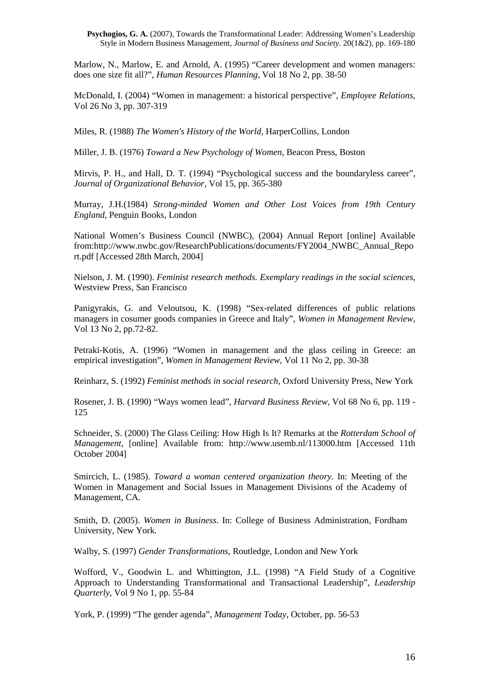Marlow, N., Marlow, E. and Arnold, A. (1995) "Career development and women managers: does one size fit all?", *Human Resources Planning*, Vol 18 No 2, pp. 38-50

McDonald, I. (2004) "Women in management: a historical perspective", *Employee Relations*, Vol 26 No 3, pp. 307-319

Miles, R. (1988) *The Women's History of the World*, HarperCollins, London

Miller, J. B. (1976) *Toward a New Psychology of Women*, Beacon Press, Boston

Mirvis, P. H., and Hall, D. T. (1994) "Psychological success and the boundaryless career", *Journal of Organizational Behavior*, Vol 15, pp. 365-380

Murray, J.H.(1984) *Strong-minded Women and Other Lost Voices from 19th Century England*, Penguin Books, London

National Women's Business Council (NWBC), (2004) Annual Report [online] Available from:http://www.nwbc.gov/ResearchPublications/documents/FY2004\_NWBC\_Annual\_Repo rt.pdf [Accessed 28th March, 2004]

Nielson, J. M. (1990). *Feminist research methods. Exemplary readings in the social sciences*, Westview Press, San Francisco

Panigyrakis, G. and Veloutsou, K. (1998) "Sex-related differences of public relations managers in cosumer goods companies in Greece and Italy", *Women in Management Review*, Vol 13 No 2, pp.72-82.

Petraki-Kotis, A. (1996) "Women in management and the glass ceiling in Greece: an empirical investigation", *Women in Management Review*, Vol 11 No 2, pp. 30-38

Reinharz, S. (1992) *Feminist methods in social research*, Oxford University Press, New York

Rosener, J. B. (1990) "Ways women lead", *Harvard Business Review*, Vol 68 No 6, pp. 119 - 125

Schneider, S. (2000) The Glass Ceiling: How High Is It? Remarks at the *Rotterdam School of Management*, [online] Available from: http://www.usemb.nl/113000.htm [Accessed 11th October 2004]

Smircich, L. (1985). *Toward a woman centered organization theory*. In: Meeting of the Women in Management and Social Issues in Management Divisions of the Academy of Management, CA.

Smith, D. (2005). *Women in Business*. In: College of Business Administration, Fordham University, New York.

Walby, S. (1997) *Gender Transformations*, Routledge, London and New York

Wofford, V., Goodwin L. and Whittington, J.L. (1998) "A Field Study of a Cognitive Approach to Understanding Transformational and Transactional Leadership", *Leadership Quarterly*, Vol 9 No 1, pp. 55-84

York, P. (1999) "The gender agenda", *Management Today*, October, pp. 56-53